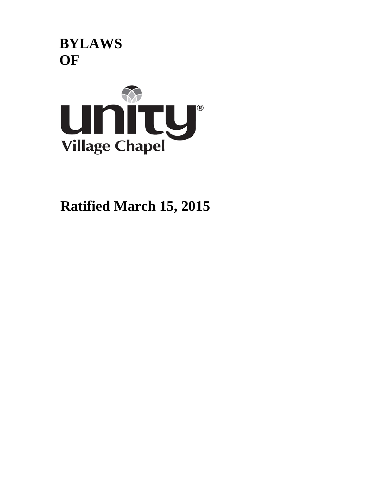



**Ratified March 15, 2015**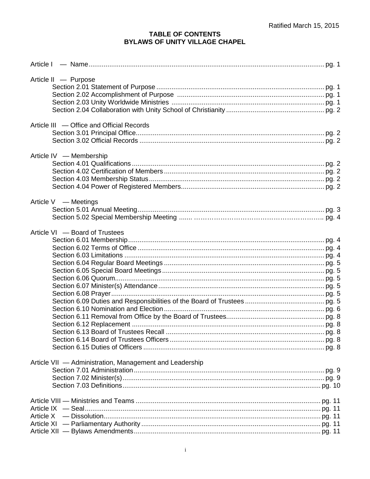# TABLE OF CONTENTS<br>BYLAWS OF UNITY VILLAGE CHAPEL

| Article II - Purpose                                    |  |
|---------------------------------------------------------|--|
|                                                         |  |
|                                                         |  |
|                                                         |  |
|                                                         |  |
| Article III - Office and Official Records               |  |
|                                                         |  |
|                                                         |  |
| Article IV - Membership                                 |  |
|                                                         |  |
|                                                         |  |
|                                                         |  |
|                                                         |  |
| Article V — Meetings                                    |  |
|                                                         |  |
|                                                         |  |
| Article VI - Board of Trustees                          |  |
|                                                         |  |
|                                                         |  |
|                                                         |  |
|                                                         |  |
|                                                         |  |
|                                                         |  |
|                                                         |  |
|                                                         |  |
|                                                         |  |
|                                                         |  |
|                                                         |  |
|                                                         |  |
|                                                         |  |
|                                                         |  |
|                                                         |  |
| Article VII - Administration, Management and Leadership |  |
|                                                         |  |
|                                                         |  |
|                                                         |  |
|                                                         |  |
|                                                         |  |
|                                                         |  |
|                                                         |  |
|                                                         |  |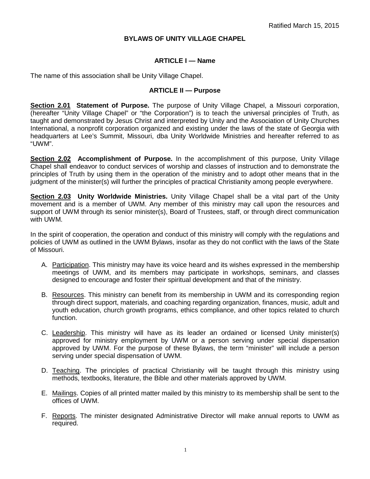## **BYLAWS OF UNITY VILLAGE CHAPEL**

#### **ARTICLE I — Name**

The name of this association shall be Unity Village Chapel.

#### **ARTICLE II — Purpose**

**Section 2.01 Statement of Purpose.** The purpose of Unity Village Chapel, a Missouri corporation, (hereafter "Unity Village Chapel" or "the Corporation") is to teach the universal principles of Truth, as taught and demonstrated by Jesus Christ and interpreted by Unity and the Association of Unity Churches International, a nonprofit corporation organized and existing under the laws of the state of Georgia with headquarters at Lee's Summit, Missouri, dba Unity Worldwide Ministries and hereafter referred to as "UWM".

**Section 2.02 Accomplishment of Purpose.** In the accomplishment of this purpose, Unity Village Chapel shall endeavor to conduct services of worship and classes of instruction and to demonstrate the principles of Truth by using them in the operation of the ministry and to adopt other means that in the judgment of the minister(s) will further the principles of practical Christianity among people everywhere.

**Section 2.03 Unity Worldwide Ministries.** Unity Village Chapel shall be a vital part of the Unity movement and is a member of UWM. Any member of this ministry may call upon the resources and support of UWM through its senior minister(s), Board of Trustees, staff, or through direct communication with UWM.

In the spirit of cooperation, the operation and conduct of this ministry will comply with the regulations and policies of UWM as outlined in the UWM Bylaws, insofar as they do not conflict with the laws of the State of Missouri.

- A. Participation. This ministry may have its voice heard and its wishes expressed in the membership meetings of UWM, and its members may participate in workshops, seminars, and classes designed to encourage and foster their spiritual development and that of the ministry.
- B. Resources. This ministry can benefit from its membership in UWM and its corresponding region through direct support, materials, and coaching regarding organization, finances, music, adult and youth education, church growth programs, ethics compliance, and other topics related to church function.
- C. Leadership. This ministry will have as its leader an ordained or licensed Unity minister(s) approved for ministry employment by UWM or a person serving under special dispensation approved by UWM. For the purpose of these Bylaws, the term "minister" will include a person serving under special dispensation of UWM.
- D. Teaching. The principles of practical Christianity will be taught through this ministry using methods, textbooks, literature, the Bible and other materials approved by UWM.
- E. Mailings. Copies of all printed matter mailed by this ministry to its membership shall be sent to the offices of UWM.
- F. Reports. The minister designated Administrative Director will make annual reports to UWM as required.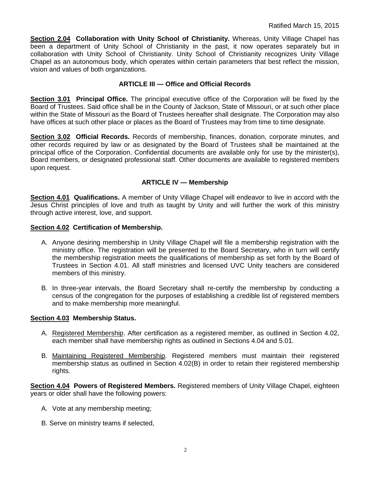**Section 2.04 Collaboration with Unity School of Christianity.** Whereas, Unity Village Chapel has been a department of Unity School of Christianity in the past, it now operates separately but in collaboration with Unity School of Christianity. Unity School of Christianity recognizes Unity Village Chapel as an autonomous body, which operates within certain parameters that best reflect the mission, vision and values of both organizations.

# **ARTICLE III — Office and Official Records**

**Section 3.01 Principal Office.** The principal executive office of the Corporation will be fixed by the Board of Trustees. Said office shall be in the County of Jackson, State of Missouri, or at such other place within the State of Missouri as the Board of Trustees hereafter shall designate. The Corporation may also have offices at such other place or places as the Board of Trustees may from time to time designate.

Section 3.02 Official Records. Records of membership, finances, donation, corporate minutes, and other records required by law or as designated by the Board of Trustees shall be maintained at the principal office of the Corporation. Confidential documents are available only for use by the minister(s), Board members, or designated professional staff. Other documents are available to registered members upon request.

# **ARTICLE IV — Membership**

**Section 4.01 Qualifications.** A member of Unity Village Chapel will endeavor to live in accord with the Jesus Christ principles of love and truth as taught by Unity and will further the work of this ministry through active interest, love, and support.

## **Section 4.02 Certification of Membership.**

- A. Anyone desiring membership in Unity Village Chapel will file a membership registration with the ministry office. The registration will be presented to the Board Secretary, who in turn will certify the membership registration meets the qualifications of membership as set forth by the Board of Trustees in Section 4.01. All staff ministries and licensed UVC Unity teachers are considered members of this ministry.
- B. In three-year intervals, the Board Secretary shall re-certify the membership by conducting a census of the congregation for the purposes of establishing a credible list of registered members and to make membership more meaningful.

## **Section 4.03 Membership Status.**

- A. Registered Membership. After certification as a registered member, as outlined in Section 4.02, each member shall have membership rights as outlined in Sections 4.04 and 5.01.
- B. Maintaining Registered Membership. Registered members must maintain their registered membership status as outlined in Section 4.02(B) in order to retain their registered membership rights.

**Section 4.04 Powers of Registered Members.** Registered members of Unity Village Chapel, eighteen years or older shall have the following powers:

- A. Vote at any membership meeting;
- B. Serve on ministry teams if selected,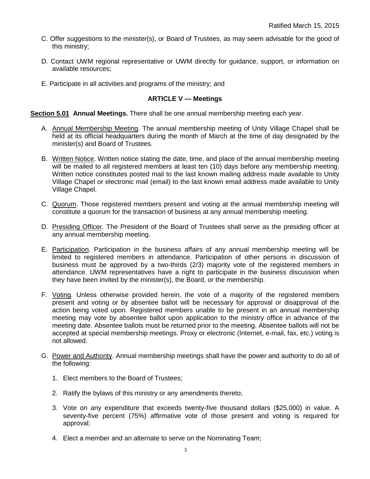- C. Offer suggestions to the minister(s), or Board of Trustees, as may seem advisable for the good of this ministry;
- D. Contact UWM regional representative or UWM directly for guidance, support, or information on available resources;
- E. Participate in all activities and programs of the ministry; and

# **ARTICLE V — Meetings**

## **Section 5.01 Annual Meetings.** There shall be one annual membership meeting each year.

- A. Annual Membership Meeting. The annual membership meeting of Unity Village Chapel shall be held at its official headquarters during the month of March at the time of day designated by the minister(s) and Board of Trustees.
- B. Written Notice. Written notice stating the date, time, and place of the annual membership meeting will be mailed to all registered members at least ten (10) days before any membership meeting. Written notice constitutes posted mail to the last known mailing address made available to Unity Village Chapel or electronic mail (email) to the last known email address made available to Unity Village Chapel.
- C. Quorum. Those registered members present and voting at the annual membership meeting will constitute a quorum for the transaction of business at any annual membership meeting.
- D. Presiding Officer. The President of the Board of Trustees shall serve as the presiding officer at any annual membership meeting.
- E. Participation. Participation in the business affairs of any annual membership meeting will be limited to registered members in attendance. Participation of other persons in discussion of business must be approved by a two-thirds (2/3) majority vote of the registered members in attendance. UWM representatives have a right to participate in the business discussion when they have been invited by the minister(s), the Board, or the membership.
- F. Voting. Unless otherwise provided herein, the vote of a majority of the registered members present and voting or by absentee ballot will be necessary for approval or disapproval of the action being voted upon. Registered members unable to be present in an annual membership meeting may vote by absentee ballot upon application to the ministry office in advance of the meeting date. Absentee ballots must be returned prior to the meeting. Absentee ballots will not be accepted at special membership meetings. Proxy or electronic (Internet, e-mail, fax, etc.) voting is not allowed.
- G. Power and Authority. Annual membership meetings shall have the power and authority to do all of the following:
	- 1. Elect members to the Board of Trustees;
	- 2. Ratify the bylaws of this ministry or any amendments thereto;
	- 3. Vote on any expenditure that exceeds twenty-five thousand dollars (\$25,000) in value. A seventy-five percent (75%) affirmative vote of those present and voting is required for approval;
	- 4. Elect a member and an alternate to serve on the Nominating Team;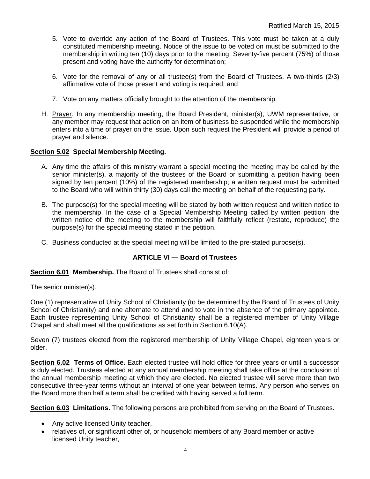- 5. Vote to override any action of the Board of Trustees. This vote must be taken at a duly constituted membership meeting. Notice of the issue to be voted on must be submitted to the membership in writing ten (10) days prior to the meeting. Seventy-five percent (75%) of those present and voting have the authority for determination;
- 6. Vote for the removal of any or all trustee(s) from the Board of Trustees. A two-thirds (2/3) affirmative vote of those present and voting is required; and
- 7. Vote on any matters officially brought to the attention of the membership.
- H. Prayer. In any membership meeting, the Board President, minister(s), UWM representative, or any member may request that action on an item of business be suspended while the membership enters into a time of prayer on the issue. Upon such request the President will provide a period of prayer and silence.

## **Section 5.02 Special Membership Meeting.**

- A. Any time the affairs of this ministry warrant a special meeting the meeting may be called by the senior minister(s), a majority of the trustees of the Board or submitting a petition having been signed by ten percent (10%) of the registered membership; a written request must be submitted to the Board who will within thirty (30) days call the meeting on behalf of the requesting party.
- B. The purpose(s) for the special meeting will be stated by both written request and written notice to the membership. In the case of a Special Membership Meeting called by written petition, the written notice of the meeting to the membership will faithfully reflect (restate, reproduce) the purpose(s) for the special meeting stated in the petition.
- C. Business conducted at the special meeting will be limited to the pre-stated purpose(s).

## **ARTICLE VI — Board of Trustees**

**Section 6.01 Membership.** The Board of Trustees shall consist of:

The senior minister(s).

One (1) representative of Unity School of Christianity (to be determined by the Board of Trustees of Unity School of Christianity) and one alternate to attend and to vote in the absence of the primary appointee. Each trustee representing Unity School of Christianity shall be a registered member of Unity Village Chapel and shall meet all the qualifications as set forth in Section 6.10(A).

Seven (7) trustees elected from the registered membership of Unity Village Chapel, eighteen years or older.

**Section 6.02 Terms of Office.** Each elected trustee will hold office for three years or until a successor is duly elected. Trustees elected at any annual membership meeting shall take office at the conclusion of the annual membership meeting at which they are elected. No elected trustee will serve more than two consecutive three-year terms without an interval of one year between terms. Any person who serves on the Board more than half a term shall be credited with having served a full term.

**Section 6.03 Limitations.** The following persons are prohibited from serving on the Board of Trustees.

- Any active licensed Unity teacher,
- relatives of, or significant other of, or household members of any Board member or active licensed Unity teacher,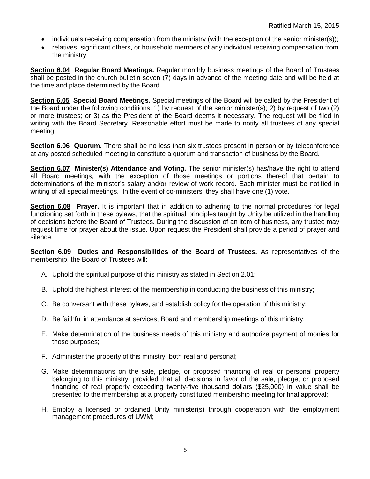- individuals receiving compensation from the ministry (with the exception of the senior minister(s));
- relatives, significant others, or household members of any individual receiving compensation from the ministry.

**Section 6.04 Regular Board Meetings.** Regular monthly business meetings of the Board of Trustees shall be posted in the church bulletin seven (7) days in advance of the meeting date and will be held at the time and place determined by the Board.

**Section 6.05 Special Board Meetings.** Special meetings of the Board will be called by the President of the Board under the following conditions: 1) by request of the senior minister(s); 2) by request of two (2) or more trustees; or 3) as the President of the Board deems it necessary. The request will be filed in writing with the Board Secretary. Reasonable effort must be made to notify all trustees of any special meeting.

**Section 6.06 Quorum.** There shall be no less than six trustees present in person or by teleconference at any posted scheduled meeting to constitute a quorum and transaction of business by the Board.

**Section 6.07 Minister(s) Attendance and Voting.** The senior minister(s) has/have the right to attend all Board meetings, with the exception of those meetings or portions thereof that pertain to determinations of the minister's salary and/or review of work record. Each minister must be notified in writing of all special meetings. In the event of co-ministers, they shall have one (1) vote.

**Section 6.08** Prayer. It is important that in addition to adhering to the normal procedures for legal functioning set forth in these bylaws, that the spiritual principles taught by Unity be utilized in the handling of decisions before the Board of Trustees. During the discussion of an item of business, any trustee may request time for prayer about the issue. Upon request the President shall provide a period of prayer and silence.

**Section 6.09 Duties and Responsibilities of the Board of Trustees.** As representatives of the membership, the Board of Trustees will:

- A. Uphold the spiritual purpose of this ministry as stated in Section 2.01;
- B. Uphold the highest interest of the membership in conducting the business of this ministry;
- C. Be conversant with these bylaws, and establish policy for the operation of this ministry;
- D. Be faithful in attendance at services, Board and membership meetings of this ministry;
- E. Make determination of the business needs of this ministry and authorize payment of monies for those purposes;
- F. Administer the property of this ministry, both real and personal;
- G. Make determinations on the sale, pledge, or proposed financing of real or personal property belonging to this ministry, provided that all decisions in favor of the sale, pledge, or proposed financing of real property exceeding twenty-five thousand dollars (\$25,000) in value shall be presented to the membership at a properly constituted membership meeting for final approval;
- H. Employ a licensed or ordained Unity minister(s) through cooperation with the employment management procedures of UWM;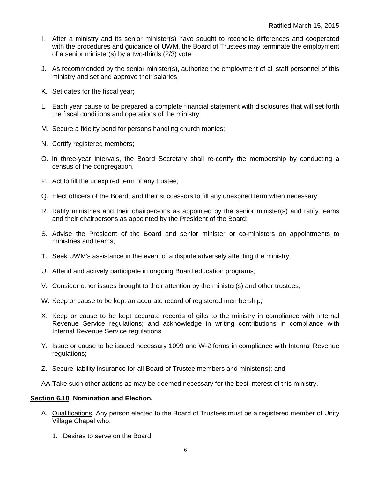- I. After a ministry and its senior minister(s) have sought to reconcile differences and cooperated with the procedures and guidance of UWM, the Board of Trustees may terminate the employment of a senior minister(s) by a two-thirds (2/3) vote;
- J. As recommended by the senior minister(s), authorize the employment of all staff personnel of this ministry and set and approve their salaries;
- K. Set dates for the fiscal year;
- L. Each year cause to be prepared a complete financial statement with disclosures that will set forth the fiscal conditions and operations of the ministry;
- M. Secure a fidelity bond for persons handling church monies;
- N. Certify registered members;
- O. In three-year intervals, the Board Secretary shall re-certify the membership by conducting a census of the congregation,
- P. Act to fill the unexpired term of any trustee;
- Q. Elect officers of the Board, and their successors to fill any unexpired term when necessary;
- R. Ratify ministries and their chairpersons as appointed by the senior minister(s) and ratify teams and their chairpersons as appointed by the President of the Board;
- S. Advise the President of the Board and senior minister or co-ministers on appointments to ministries and teams;
- T. Seek UWM's assistance in the event of a dispute adversely affecting the ministry;
- U. Attend and actively participate in ongoing Board education programs;
- V. Consider other issues brought to their attention by the minister(s) and other trustees;
- W. Keep or cause to be kept an accurate record of registered membership;
- X. Keep or cause to be kept accurate records of gifts to the ministry in compliance with Internal Revenue Service regulations; and acknowledge in writing contributions in compliance with Internal Revenue Service regulations;
- Y. Issue or cause to be issued necessary 1099 and W-2 forms in compliance with Internal Revenue regulations;
- Z. Secure liability insurance for all Board of Trustee members and minister(s); and
- AA.Take such other actions as may be deemed necessary for the best interest of this ministry.

#### **Section 6.10 Nomination and Election.**

- A. Qualifications. Any person elected to the Board of Trustees must be a registered member of Unity Village Chapel who:
	- 1. Desires to serve on the Board.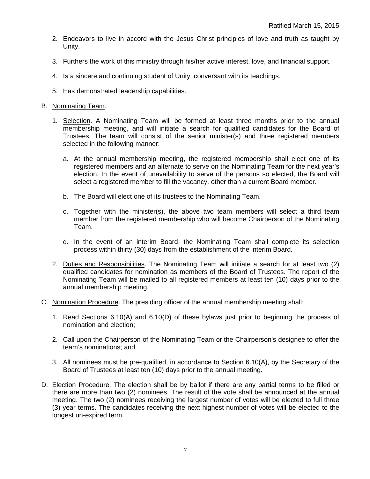- 2. Endeavors to live in accord with the Jesus Christ principles of love and truth as taught by Unity.
- 3. Furthers the work of this ministry through his/her active interest, love, and financial support.
- 4. Is a sincere and continuing student of Unity, conversant with its teachings.
- 5. Has demonstrated leadership capabilities.

## B. Nominating Team.

- 1. Selection. A Nominating Team will be formed at least three months prior to the annual membership meeting, and will initiate a search for qualified candidates for the Board of Trustees. The team will consist of the senior minister(s) and three registered members selected in the following manner:
	- a. At the annual membership meeting, the registered membership shall elect one of its registered members and an alternate to serve on the Nominating Team for the next year's election. In the event of unavailability to serve of the persons so elected, the Board will select a registered member to fill the vacancy, other than a current Board member.
	- b. The Board will elect one of its trustees to the Nominating Team.
	- c. Together with the minister(s), the above two team members will select a third team member from the registered membership who will become Chairperson of the Nominating Team.
	- d. In the event of an interim Board, the Nominating Team shall complete its selection process within thirty (30) days from the establishment of the interim Board.
- 2. Duties and Responsibilities. The Nominating Team will initiate a search for at least two (2) qualified candidates for nomination as members of the Board of Trustees. The report of the Nominating Team will be mailed to all registered members at least ten (10) days prior to the annual membership meeting.
- C. Nomination Procedure. The presiding officer of the annual membership meeting shall:
	- 1. Read Sections 6.10(A) and 6.10(D) of these bylaws just prior to beginning the process of nomination and election;
	- 2. Call upon the Chairperson of the Nominating Team or the Chairperson's designee to offer the team's nominations; and
	- 3. All nominees must be pre-qualified, in accordance to Section 6.10(A), by the Secretary of the Board of Trustees at least ten (10) days prior to the annual meeting.
- D. Election Procedure. The election shall be by ballot if there are any partial terms to be filled or there are more than two (2) nominees. The result of the vote shall be announced at the annual meeting. The two (2) nominees receiving the largest number of votes will be elected to full three (3) year terms. The candidates receiving the next highest number of votes will be elected to the longest un-expired term.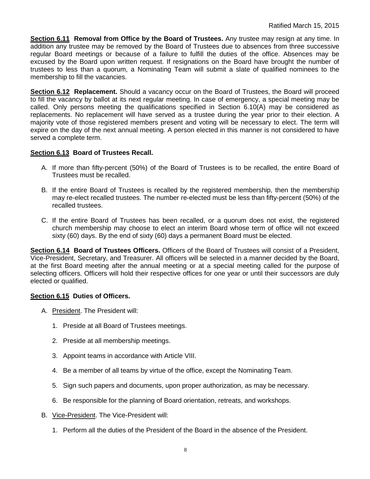**Section 6.11 Removal from Office by the Board of Trustees.** Any trustee may resign at any time. In addition any trustee may be removed by the Board of Trustees due to absences from three successive regular Board meetings or because of a failure to fulfill the duties of the office. Absences may be excused by the Board upon written request. If resignations on the Board have brought the number of trustees to less than a quorum, a Nominating Team will submit a slate of qualified nominees to the membership to fill the vacancies.

**Section 6.12 Replacement.** Should a vacancy occur on the Board of Trustees, the Board will proceed to fill the vacancy by ballot at its next regular meeting. In case of emergency, a special meeting may be called. Only persons meeting the qualifications specified in Section 6.10(A) may be considered as replacements. No replacement will have served as a trustee during the year prior to their election. A majority vote of those registered members present and voting will be necessary to elect. The term will expire on the day of the next annual meeting. A person elected in this manner is not considered to have served a complete term.

# **Section 6.13 Board of Trustees Recall.**

- A. If more than fifty-percent (50%) of the Board of Trustees is to be recalled, the entire Board of Trustees must be recalled.
- B. If the entire Board of Trustees is recalled by the registered membership, then the membership may re-elect recalled trustees. The number re-elected must be less than fifty-percent (50%) of the recalled trustees.
- C. If the entire Board of Trustees has been recalled, or a quorum does not exist, the registered church membership may choose to elect an interim Board whose term of office will not exceed sixty (60) days. By the end of sixty (60) days a permanent Board must be elected.

**Section 6.14 Board of Trustees Officers.** Officers of the Board of Trustees will consist of a President, Vice-President, Secretary, and Treasurer. All officers will be selected in a manner decided by the Board, at the first Board meeting after the annual meeting or at a special meeting called for the purpose of selecting officers. Officers will hold their respective offices for one year or until their successors are duly elected or qualified.

## **Section 6.15 Duties of Officers.**

- A. President. The President will:
	- 1. Preside at all Board of Trustees meetings.
	- 2. Preside at all membership meetings.
	- 3. Appoint teams in accordance with Article VIII.
	- 4. Be a member of all teams by virtue of the office, except the Nominating Team.
	- 5. Sign such papers and documents, upon proper authorization, as may be necessary.
	- 6. Be responsible for the planning of Board orientation, retreats, and workshops.
- B. Vice-President. The Vice-President will:
	- 1. Perform all the duties of the President of the Board in the absence of the President.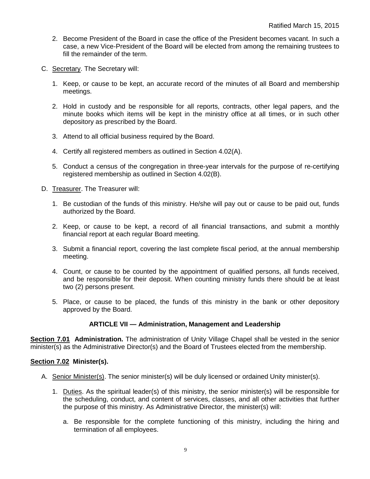- 2. Become President of the Board in case the office of the President becomes vacant. In such a case, a new Vice-President of the Board will be elected from among the remaining trustees to fill the remainder of the term.
- C. Secretary. The Secretary will:
	- 1. Keep, or cause to be kept, an accurate record of the minutes of all Board and membership meetings.
	- 2. Hold in custody and be responsible for all reports, contracts, other legal papers, and the minute books which items will be kept in the ministry office at all times, or in such other depository as prescribed by the Board.
	- 3. Attend to all official business required by the Board.
	- 4. Certify all registered members as outlined in Section 4.02(A).
	- 5. Conduct a census of the congregation in three-year intervals for the purpose of re-certifying registered membership as outlined in Section 4.02(B).
- D. Treasurer. The Treasurer will:
	- 1. Be custodian of the funds of this ministry. He/she will pay out or cause to be paid out, funds authorized by the Board.
	- 2. Keep, or cause to be kept, a record of all financial transactions, and submit a monthly financial report at each regular Board meeting.
	- 3. Submit a financial report, covering the last complete fiscal period, at the annual membership meeting.
	- 4. Count, or cause to be counted by the appointment of qualified persons, all funds received, and be responsible for their deposit. When counting ministry funds there should be at least two (2) persons present.
	- 5. Place, or cause to be placed, the funds of this ministry in the bank or other depository approved by the Board.

## **ARTICLE VII — Administration, Management and Leadership**

**Section 7.01 Administration.** The administration of Unity Village Chapel shall be vested in the senior minister(s) as the Administrative Director(s) and the Board of Trustees elected from the membership.

## **Section 7.02 Minister(s).**

- A. Senior Minister(s). The senior minister(s) will be duly licensed or ordained Unity minister(s).
	- 1. Duties. As the spiritual leader(s) of this ministry, the senior minister(s) will be responsible for the scheduling, conduct, and content of services, classes, and all other activities that further the purpose of this ministry. As Administrative Director, the minister(s) will:
		- a. Be responsible for the complete functioning of this ministry, including the hiring and termination of all employees.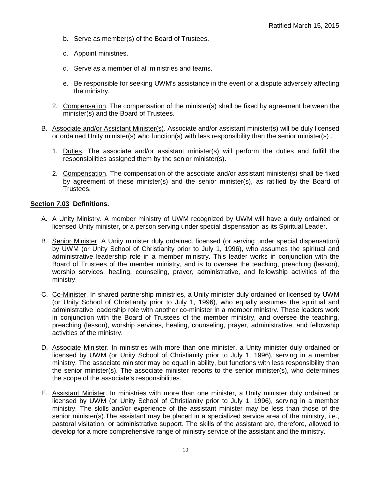- b. Serve as member(s) of the Board of Trustees.
- c. Appoint ministries.
- d. Serve as a member of all ministries and teams.
- e. Be responsible for seeking UWM's assistance in the event of a dispute adversely affecting the ministry.
- 2. Compensation. The compensation of the minister(s) shall be fixed by agreement between the minister(s) and the Board of Trustees.
- B. Associate and/or Assistant Minister(s). Associate and/or assistant minister(s) will be duly licensed or ordained Unity minister(s) who function(s) with less responsibility than the senior minister(s) .
	- 1. Duties. The associate and/or assistant minister(s) will perform the duties and fulfill the responsibilities assigned them by the senior minister(s).
	- 2. Compensation. The compensation of the associate and/or assistant minister(s) shall be fixed by agreement of these minister(s) and the senior minister(s), as ratified by the Board of Trustees.

#### **Section 7.03 Definitions.**

- A. A Unity Ministry. A member ministry of UWM recognized by UWM will have a duly ordained or licensed Unity minister, or a person serving under special dispensation as its Spiritual Leader.
- B. Senior Minister. A Unity minister duly ordained, licensed (or serving under special dispensation) by UWM (or Unity School of Christianity prior to July 1, 1996), who assumes the spiritual and administrative leadership role in a member ministry. This leader works in conjunction with the Board of Trustees of the member ministry, and is to oversee the teaching, preaching (lesson), worship services, healing, counseling, prayer, administrative, and fellowship activities of the ministry.
- C. Co-Minister. In shared partnership ministries, a Unity minister duly ordained or licensed by UWM (or Unity School of Christianity prior to July 1, 1996), who equally assumes the spiritual and administrative leadership role with another co-minister in a member ministry. These leaders work in conjunction with the Board of Trustees of the member ministry, and oversee the teaching, preaching (lesson), worship services, healing, counseling, prayer, administrative, and fellowship activities of the ministry.
- D. Associate Minister. In ministries with more than one minister, a Unity minister duly ordained or licensed by UWM (or Unity School of Christianity prior to July 1, 1996), serving in a member ministry. The associate minister may be equal in ability, but functions with less responsibility than the senior minister(s). The associate minister reports to the senior minister(s), who determines the scope of the associate's responsibilities.
- E. Assistant Minister. In ministries with more than one minister, a Unity minister duly ordained or licensed by UWM (or Unity School of Christianity prior to July 1, 1996), serving in a member ministry. The skills and/or experience of the assistant minister may be less than those of the senior minister(s).The assistant may be placed in a specialized service area of the ministry, i.e., pastoral visitation, or administrative support. The skills of the assistant are, therefore, allowed to develop for a more comprehensive range of ministry service of the assistant and the ministry.